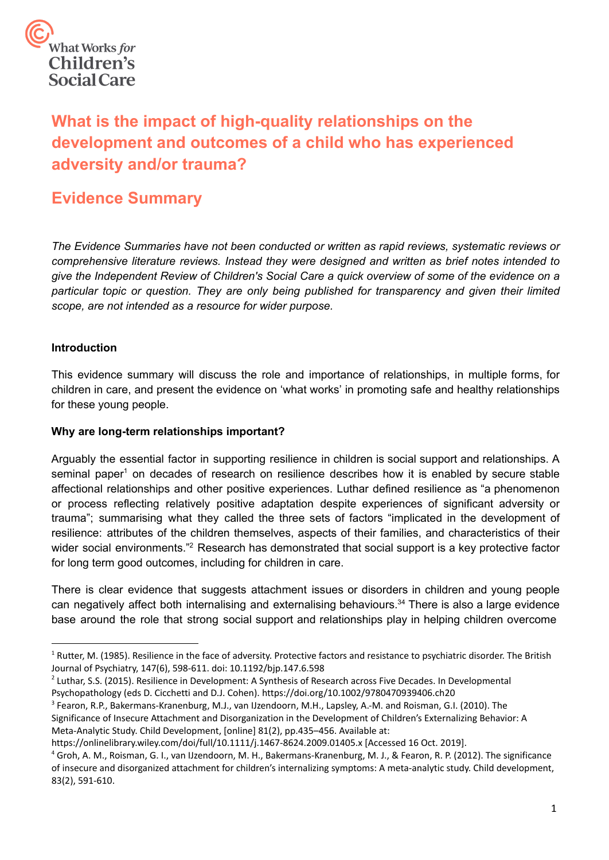

# **What is the impact of high-quality relationships on the development and outcomes of a child who has experienced adversity and/or trauma?**

## **Evidence Summary**

*The Evidence Summaries have not been conducted or written as rapid reviews, systematic reviews or comprehensive literature reviews. Instead they were designed and written as brief notes intended to give the Independent Review of Children's Social Care a quick overview of some of the evidence on a particular topic or question. They are only being published for transparency and given their limited scope, are not intended as a resource for wider purpose.*

## **Introduction**

 This evidence summary will discuss the role and importance of relationships, in multiple forms, for children in care, and present the evidence on 'what works' in promoting safe and healthy relationships for these young people.

## **Why are long-term relationships important?**

 Arguably the essential factor in supporting resilience in children is social support and relationships. A seminal paper<sup>1</sup> on decades of research on resilience describes how it is enabled by secure stable affectional relationships and other positive experiences. Luthar defined resilience as "a phenomenon or process reflecting relatively positive adaptation despite experiences of significant adversity or trauma"; summarising what they called the three sets of factors "implicated in the development of resilience: attributes of the children themselves, aspects of their families, and characteristics of their wider social environments."<sup>2</sup> Research has demonstrated that social support is a key protective factor for long term good outcomes, including for children in care.

 There is clear evidence that suggests attachment issues or disorders in children and young people can negatively affect both internalising and externalising behaviours.<sup>34</sup> There is also a large evidence base around the role that strong social support and relationships play in helping children overcome

<sup>&</sup>lt;sup>1</sup> Rutter, M. (1985). Resilience in the face of adversity. Protective factors and resistance to psychiatric disorder. The British Journal of Psychiatry, 147(6), 598-611. doi: 10.1192/bjp.147.6.598

<sup>&</sup>lt;sup>2</sup> Luthar, S.S. (2015). Resilience in Development: A Synthesis of Research across Five Decades. In Developmental Psychopathology (eds D. Cicchetti and D.J. Cohen).<https://doi.org/10.1002/9780470939406.ch20>

<sup>3</sup> Fearon, R.P., Bakermans-Kranenburg, M.J., van IJzendoorn, M.H., Lapsley, A.-M. and Roisman, G.I. (2010). The Significance of Insecure Attachment and Disorganization in the Development of Children's Externalizing Behavior: A Meta-Analytic Study. Child Development, [online] 81(2), pp.435–456. Available at:

<https://onlinelibrary.wiley.com/doi/full/10.1111/j.1467-8624.2009.01405.x>[Accessed 16 Oct. 2019].

<sup>4</sup> Groh, A. M., Roisman, G. I., van IJzendoorn, M. H., Bakermans-Kranenburg, M. J., & Fearon, R. P. (2012). The significance of insecure and disorganized attachment for children's internalizing symptoms: A meta-analytic study. Child development, 83(2), 591-610.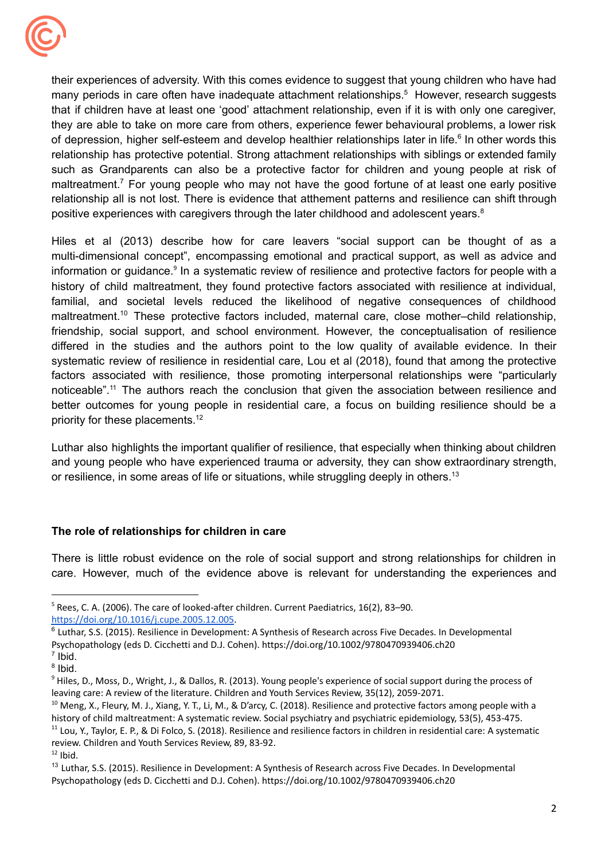

positive experiences with caregivers through the later childhood and adolescent years. $8$ their experiences of adversity. With this comes evidence to suggest that young children who have had many periods in care often have inadequate attachment relationships.<sup>5</sup> However, research suggests that if children have at least one 'good' attachment relationship, even if it is with only one caregiver, they are able to take on more care from others, experience fewer behavioural problems, a lower risk of depression, higher self-esteem and develop healthier relationships later in life.<sup>6</sup> In other words this relationship has protective potential. Strong attachment relationships with siblings or extended family such as Grandparents can also be a protective factor for children and young people at risk of maltreatment.<sup>7</sup> For young people who may not have the good fortune of at least one early positive relationship all is not lost. There is evidence that atthement patterns and resilience can shift through

priority for these placements.<sup>12</sup> Hiles et al (2013) describe how for care leavers "social support can be thought of as a multi-dimensional concept", encompassing emotional and practical support, as well as advice and information or guidance.<sup>9</sup> In a systematic review of resilience and protective factors for people with a history of child maltreatment, they found protective factors associated with resilience at individual, familial, and societal levels reduced the likelihood of negative consequences of childhood maltreatment.<sup>10</sup> These protective factors included, maternal care, close mother–child relationship, friendship, social support, and school environment. However, the conceptualisation of resilience differed in the studies and the authors point to the low quality of available evidence. In their systematic review of resilience in residential care, Lou et al (2018), found that among the protective factors associated with resilience, those promoting interpersonal relationships were "particularly noticeable".<sup>11</sup> The authors reach the conclusion that given the association between resilience and better outcomes for young people in residential care, a focus on building resilience should be a

or resilience, in some areas of life or situations, while struggling deeply in others.<sup>13</sup> Luthar also highlights the important qualifier of resilience, that especially when thinking about children and young people who have experienced trauma or adversity, they can show extraordinary strength,

## **The role of relationships for children in care**

There is little robust evidence on the role of social support and strong relationships for children in care. However, much of the evidence above is relevant for understanding the experiences and

 $5$  Rees, C. A. (2006). The care of looked-after children. Current Paediatrics, 16(2), 83–90. [https://doi.org/10.1016/j.cupe.2005.12.005.](https://doi.org/10.1016/j.cupe.2005.12.005)

 $^6$  Luthar, S.S. (2015). Resilience in Development: A Synthesis of Research across Five Decades. In Developmental

 Psychopathology (eds D. Cicchetti and D.J. Cohen). <https://doi.org/10.1002/9780470939406.ch20>

<sup>7</sup> Ibid. <sup>8</sup> Ibid.

<sup>&</sup>lt;sup>9</sup> Hiles, D., Moss, D., Wright, J., & Dallos, R. (2013). Young people's experience of social support during the process of leaving care: A review of the literature. Children and Youth Services Review, 35(12), 2059-2071.

<sup>&</sup>lt;sup>10</sup> Meng, X., Fleury, M. J., Xiang, Y. T., Li, M., & D'arcy, C. (2018). Resilience and protective factors among people with a history of child maltreatment: A systematic review. Social psychiatry and psychiatric epidemiology, 53(5), 453-475.

<sup>&</sup>lt;sup>11</sup> Lou, Y., Taylor, E. P., & Di Folco, S. (2018). Resilience and resilience factors in children in residential care: A systematic review. Children and Youth Services Review, 89, 83-92.

 $12$  Ibid.

<sup>&</sup>lt;sup>13</sup> Luthar, S.S. (2015). Resilience in Development: A Synthesis of Research across Five Decades. In Developmental Psychopathology (eds D. Cicchetti and D.J. Cohen). <https://doi.org/10.1002/9780470939406.ch20>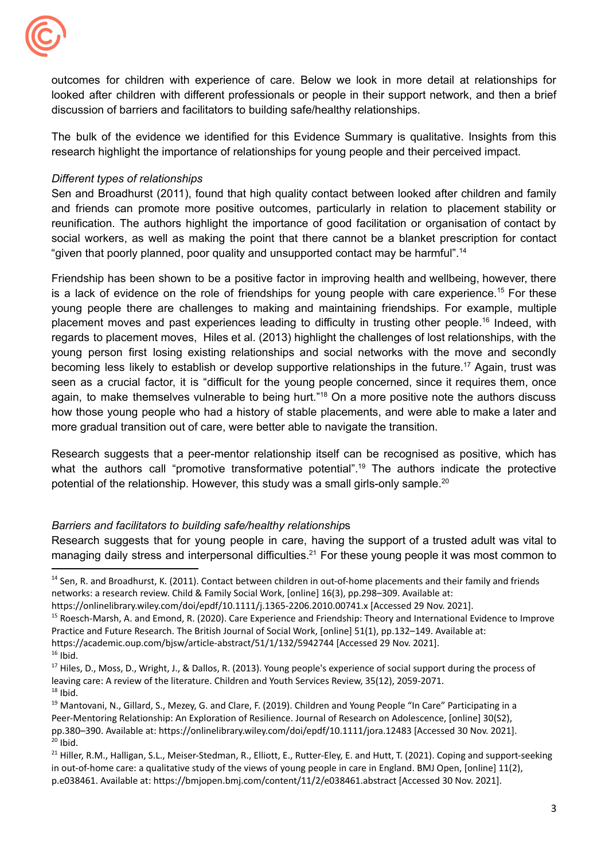

 discussion of barriers and facilitators to building safe/healthy relationships. outcomes for children with experience of care. Below we look in more detail at relationships for looked after children with different professionals or people in their support network, and then a brief

 research highlight the importance of relationships for young people and their perceived impact. The bulk of the evidence we identified for this Evidence Summary is qualitative. Insights from this

## *Different types of relationships*

"given that poorly planned, poor quality and unsupported contact may be harmful".<sup>14</sup> Sen and Broadhurst (2011), found that high quality contact between looked after children and family and friends can promote more positive outcomes, particularly in relation to placement stability or reunification. The authors highlight the importance of good facilitation or organisation of contact by social workers, as well as making the point that there cannot be a blanket prescription for contact

 more gradual transition out of care, were better able to navigate the transition. Friendship has been shown to be a positive factor in improving health and wellbeing, however, there is a lack of evidence on the role of friendships for young people with care experience.<sup>15</sup> For these young people there are challenges to making and maintaining friendships. For example, multiple placement moves and past experiences leading to difficulty in trusting other [people.16](https://people.16) Indeed, with regards to placement moves, Hiles et al. (2013) highlight the challenges of lost relationships, with the young person first losing existing relationships and social networks with the move and secondly becoming less likely to establish or develop supportive relationships in the [future.17](https://future.17) Again, trust was seen as a crucial factor, it is "difficult for the young people concerned, since it requires them, once again, to make themselves vulnerable to being hurt."18 On a more positive note the authors discuss how those young people who had a history of stable placements, and were able to make a later and

potential of the relationship. However, this study was a small girls-only sample.<sup>20</sup> Research suggests that a peer-mentor relationship itself can be recognised as positive, which has what the authors call "promotive transformative potential".<sup>19</sup> The authors indicate the protective

## *Barriers and facilitators to building safe/healthy relationship*s

Research suggests that for young people in care, having the support of a trusted adult was vital to managing daily stress and interpersonal difficulties.<sup>21</sup> For these young people it was most common to

<sup>15</sup> Roesch-Marsh, A. and Emond, R. (2020). Care Experience and Friendship: Theory and International Evidence to Improve Practice and Future Research. The British Journal of Social Work, [online] 51(1), pp.132–149. Available at: <https://academic.oup.com/bjsw/article-abstract/51/1/132/5942744> [Accessed 29 Nov. 2021].

<sup>&</sup>lt;sup>14</sup> Sen, R. and Broadhurst, K. (2011). Contact between children in out-of-home placements and their family and friends networks: a research review. Child & Family Social Work, [online] 16(3), pp.298–309. Available at:

 <https://onlinelibrary.wiley.com/doi/epdf/10.1111/j.1365-2206.2010.00741.x> [Accessed 29 Nov. 2021].

 $16$  Ibid.

<sup>&</sup>lt;sup>17</sup> Hiles, D., Moss, D., Wright, J., & Dallos, R. (2013). Young people's experience of social support during the process of leaving care: A review of the literature. Children and Youth Services Review, 35(12), 2059-2071.

 $18$  Ibid.

<sup>&</sup>lt;sup>19</sup> Mantovani, N., Gillard, S., Mezey, G. and Clare, F. (2019). Children and Young People "In Care" Participating in a Peer-Mentoring Relationship: An Exploration of Resilience. Journal of Research on Adolescence, [online] 30(S2), pp.380–390. Available at: <https://onlinelibrary.wiley.com/doi/epdf/10.1111/jora.12483> [Accessed 30 Nov. 2021].  $20$  Ibid.

<sup>&</sup>lt;sup>21</sup> Hiller, R.M., Halligan, S.L., Meiser-Stedman, R., Elliott, E., Rutter-Eley, E. and Hutt, T. (2021). Coping and support-seeking in out-of-home care: a qualitative study of the views of young people in care in England. BMJ Open, [online] 11(2), p.e038461. Available at: <https://bmjopen.bmj.com/content/11/2/e038461.abstract> [Accessed 30 Nov. 2021].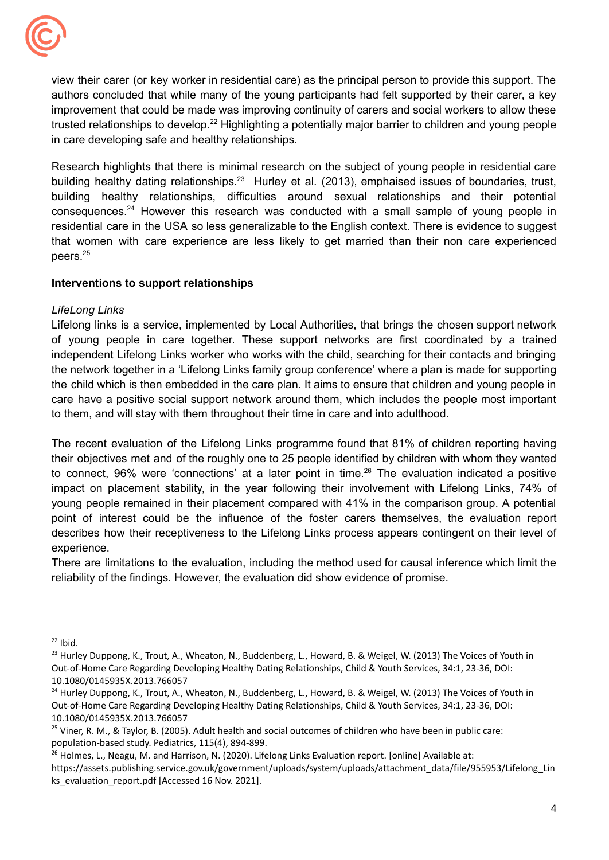

 in care developing safe and healthy relationships. view their carer (or key worker in residential care) as the principal person to provide this support. The authors concluded that while many of the young participants had felt supported by their carer, a key improvement that could be made was improving continuity of carers and social workers to allow these trusted relationships to develop.<sup>22</sup> Highlighting a potentially major barrier to children and young people

Research highlights that there is minimal research on the subject of young people in residential care building healthy dating relationships.<sup>23</sup> Hurley et al. (2013), emphaised issues of boundaries, trust, building healthy relationships, difficulties around sexual relationships and their potential [consequences.24](https://consequences.24) However this research was conducted with a small sample of young people in residential care in the USA so less generalizable to the English context. There is evidence to suggest that women with care experience are less likely to get married than their non care experienced peers.<sup>25</sup>

## **Interventions to support relationships**

## *LifeLong Links*

 to them, and will stay with them throughout their time in care and into adulthood. Lifelong links is a service, implemented by Local Authorities, that brings the chosen support network of young people in care together. These support networks are first coordinated by a trained independent Lifelong Links worker who works with the child, searching for their contacts and bringing the network together in a 'Lifelong Links family group conference' where a plan is made for supporting the child which is then embedded in the care plan. It aims to ensure that children and young people in care have a positive social support network around them, which includes the people most important

The recent evaluation of the Lifelong Links programme found that 81% of children reporting having their objectives met and of the roughly one to 25 people identified by children with whom they wanted to connect, 96% were 'connections' at a later point in time.<sup>26</sup> The evaluation indicated a positive impact on placement stability, in the year following their involvement with Lifelong Links, 74% of young people remained in their placement compared with 41% in the comparison group. A potential point of interest could be the influence of the foster carers themselves, the evaluation report describes how their receptiveness to the Lifelong Links process appears contingent on their level of experience.

 reliability of the findings. However, the evaluation did show evidence of promise. There are limitations to the evaluation, including the method used for causal inference which limit the

 $22$  Ibid.

<sup>&</sup>lt;sup>23</sup> Hurley Duppong, K., Trout, A., Wheaton, N., Buddenberg, L., Howard, B. & Weigel, W. (2013) The Voices of Youth in Out-of-Home Care Regarding Developing Healthy Dating Relationships, Child & Youth Services, 34:1, 23-36, DOI: 10.1080/0145935X.2013.766057

<sup>&</sup>lt;sup>24</sup> Hurley Duppong, K., Trout, A., Wheaton, N., Buddenberg, L., Howard, B. & Weigel, W. (2013) The Voices of Youth in Out-of-Home Care Regarding Developing Healthy Dating Relationships, Child & Youth Services, 34:1, 23-36, DOI: 10.1080/0145935X.2013.766057

<sup>&</sup>lt;sup>25</sup> Viner, R. M., & Taylor, B. (2005). Adult health and social outcomes of children who have been in public care: population-based study. Pediatrics, 115(4), 894-899.

<sup>&</sup>lt;sup>26</sup> Holmes, L., Neagu, M. and Harrison, N. (2020). Lifelong Links Evaluation report. [online] Available at:

 ks\_evaluation\_report.pdf [Accessed 16 Nov. 2021]. [https://assets.publishing.service.gov.uk/government/uploads/system/uploads/attachment\\_data/file/955953/Lifelong\\_Lin](https://assets.publishing.service.gov.uk/government/uploads/system/uploads/attachment_data/file/955953/Lifelong_Lin)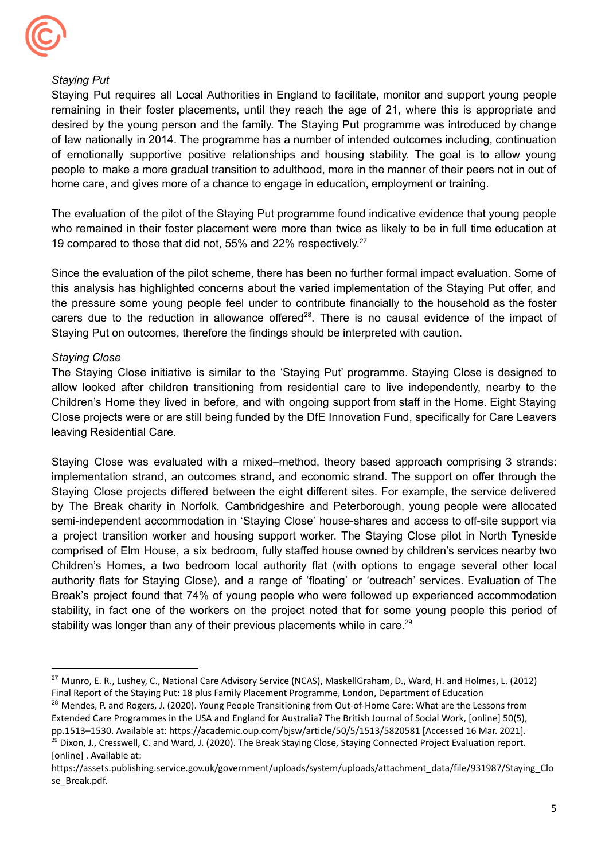

## *Staying Put*

 home care, and gives more of a chance to engage in education, employment or training. Staying Put requires all Local Authorities in England to facilitate, monitor and support young people remaining in their foster placements, until they reach the age of 21, where this is appropriate and desired by the young person and the family. The Staying Put programme was introduced by change of law nationally in 2014. The programme has a number of intended outcomes including, continuation of emotionally supportive positive relationships and housing stability. The goal is to allow young people to make a more gradual transition to adulthood, more in the manner of their peers not in out of

19 compared to those that did not, 55% and 22% respectively.<sup>27</sup> The evaluation of the pilot of the Staying Put programme found indicative evidence that young people who remained in their foster placement were more than twice as likely to be in full time education at

 Staying Put on outcomes, therefore the findings should be interpreted with caution. Since the evaluation of the pilot scheme, there has been no further formal impact evaluation. Some of this analysis has highlighted concerns about the varied implementation of the Staying Put offer, and the pressure some young people feel under to contribute financially to the household as the foster carers due to the reduction in allowance offered $28$ . There is no causal evidence of the impact of

## *Staying Close*

 leaving Residential Care. The Staying Close initiative is similar to the 'Staying Put' programme. Staying Close is designed to allow looked after children transitioning from residential care to live independently, nearby to the Children's Home they lived in before, and with ongoing support from staff in the Home. Eight Staying Close projects were or are still being funded by the DfE Innovation Fund, specifically for Care Leavers

stability was longer than any of their previous placements while in care.<sup>29</sup> Staying Close was evaluated with a mixed–method, theory based approach comprising 3 strands: implementation strand, an outcomes strand, and economic strand. The support on offer through the Staying Close projects differed between the eight different sites. For example, the service delivered by The Break charity in Norfolk, Cambridgeshire and Peterborough, young people were allocated semi-independent accommodation in 'Staying Close' house-shares and access to off-site support via a project transition worker and housing support worker. The Staying Close pilot in North Tyneside comprised of Elm House, a six bedroom, fully staffed house owned by children's services nearby two Children's Homes, a two bedroom local authority flat (with options to engage several other local authority flats for Staying Close), and a range of 'floating' or 'outreach' services. Evaluation of The Break's project found that 74% of young people who were followed up experienced accommodation stability, in fact one of the workers on the project noted that for some young people this period of

<sup>&</sup>lt;sup>27</sup> Munro, E. R., Lushey, C., National Care Advisory Service (NCAS), MaskellGraham, D., Ward, H. and Holmes, L. (2012) Final Report of the Staying Put: 18 plus Family Placement Programme, London, Department of Education

<sup>&</sup>lt;sup>28</sup> Mendes, P. and Rogers, J. (2020). Young People Transitioning from Out-of-Home Care: What are the Lessons from Extended Care Programmes in the USA and England for Australia? The British Journal of Social Work, [online] 50(5), pp.1513–1530. Available at: <https://academic.oup.com/bjsw/article/50/5/1513/5820581> [Accessed 16 Mar. 2021].

<sup>&</sup>lt;sup>29</sup> Dixon, J., Cresswell, C. and Ward, J. (2020). The Break Staying Close, Staying Connected Project Evaluation report. [online] . Available at:

[https://assets.publishing.service.gov.uk/government/uploads/system/uploads/attachment\\_data/file/931987/Staying\\_Clo](https://assets.publishing.service.gov.uk/government/uploads/system/uploads/attachment_data/file/931987/Staying_Clo) se\_Break.pdf.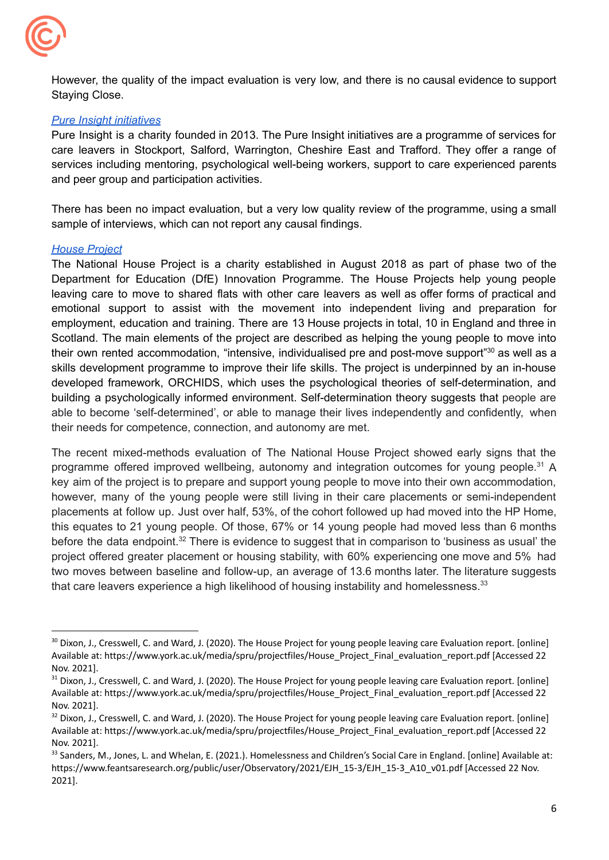

However, the quality of the impact evaluation is very low, and there is no causal evidence to support Staying Close.

## *Pure Insight [initiatives](https://www.pure-insight.org.uk/about-us)*

 and peer group and participation activities. Pure Insight is a charity founded in 2013. The Pure Insight initiatives are a programme of services for care leavers in Stockport, Salford, Warrington, Cheshire East and Trafford. They offer a range of services including mentoring, psychological well-being workers, support to care experienced parents

 sample of interviews, which can not report any causal findings. There has been no impact evaluation, but a very low quality review of the programme, using a small

## *House [Project](https://thehouseproject.org/)*

 their needs for competence, connection, and autonomy are met. The National House Project is a charity established in August 2018 as part of phase two of the Department for Education (DfE) Innovation Programme. The House Projects help young people leaving care to move to shared flats with other care leavers as well as offer forms of practical and emotional support to assist with the movement into independent living and preparation for employment, education and training. There are 13 House projects in total, 10 in England and three in Scotland. The main elements of the project are described as helping the young people to move into their own rented accommodation, "intensive, individualised pre and post-move support"<sup>30</sup> as well as a skills development programme to improve their life skills. The project is underpinned by an in-house developed framework, ORCHIDS, which uses the psychological theories of self-determination, and building a psychologically informed environment. Self-determination theory suggests that people are able to become 'self-determined', or able to manage their lives independently and confidently, when

that care leavers experience a high likelihood of housing instability and homelessness.<sup>33</sup> The recent mixed-methods evaluation of The National House Project showed early signs that the programme offered improved wellbeing, autonomy and integration outcomes for young [people.31](https://people.31) A key aim of the project is to prepare and support young people to move into their own accommodation, however, many of the young people were still living in their care placements or semi-independent placements at follow up. Just over half, 53%, of the cohort followed up had moved into the HP Home, this equates to 21 young people. Of those, 67% or 14 young people had moved less than 6 months before the data endpoint.<sup>32</sup> There is evidence to suggest that in comparison to 'business as usual' the project offered greater placement or housing stability, with 60% experiencing one move and 5% had two moves between baseline and follow-up, an average of 13.6 months later. The literature suggests

<sup>&</sup>lt;sup>30</sup> Dixon, J., Cresswell, C. and Ward, J. (2020). The House Project for young people leaving care Evaluation report. [online] Available at: [https://www.york.ac.uk/media/spru/projectfiles/House\\_Project\\_Final\\_evaluation\\_report.pdf](https://www.york.ac.uk/media/spru/projectfiles/House_Project_Final_evaluation_report.pdf) [Accessed 22 Nov. 2021].

<sup>&</sup>lt;sup>31</sup> Dixon, J., Cresswell, C. and Ward, J. (2020). The House Project for young people leaving care Evaluation report. [online] Available at: [https://www.york.ac.uk/media/spru/projectfiles/House\\_Project\\_Final\\_evaluation\\_report.pdf](https://www.york.ac.uk/media/spru/projectfiles/House_Project_Final_evaluation_report.pdf) [Accessed 22 Nov. 2021].

<sup>&</sup>lt;sup>32</sup> Dixon, J., Cresswell, C. and Ward, J. (2020). The House Project for young people leaving care Evaluation report. [online] Available at: [https://www.york.ac.uk/media/spru/projectfiles/House\\_Project\\_Final\\_evaluation\\_report.pdf](https://www.york.ac.uk/media/spru/projectfiles/House_Project_Final_evaluation_report.pdf) [Accessed 22 Nov. 2021].

<sup>&</sup>lt;sup>33</sup> Sanders, M., Jones, L. and Whelan, E. (2021.). Homelessness and Children's Social Care in England. [online] Available at: [https://www.feantsaresearch.org/public/user/Observatory/2021/EJH\\_15-3/EJH\\_15-3\\_A10\\_v01.pdf](https://www.feantsaresearch.org/public/user/Observatory/2021/EJH_15-3/EJH_15-3_A10_v01.pdf) [Accessed 22 Nov. 2021].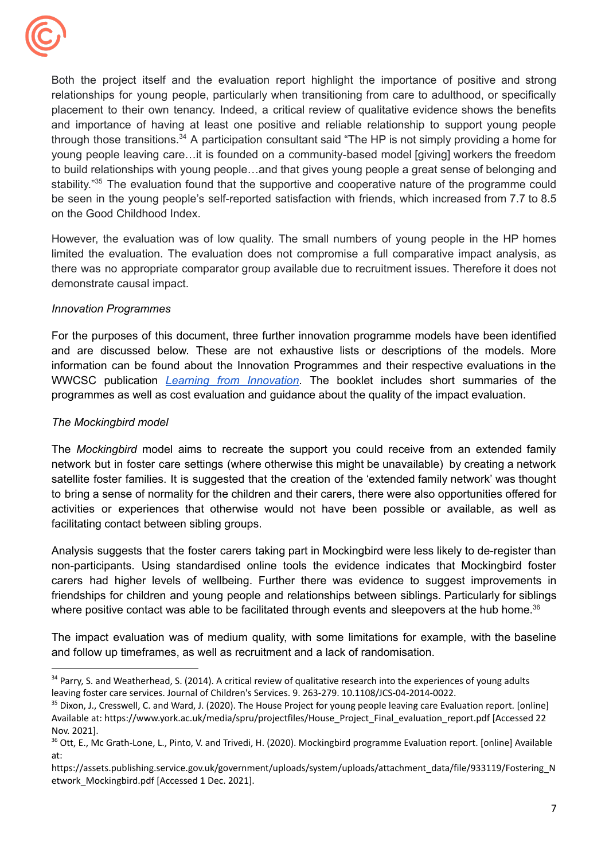

 on the Good Childhood Index. Both the project itself and the evaluation report highlight the importance of positive and strong relationships for young people, particularly when transitioning from care to adulthood, or specifically placement to their own tenancy. Indeed, a critical review of qualitative evidence shows the benefits and importance of having at least one positive and reliable relationship to support young people through those transitions.<sup>34</sup> A participation consultant said "The HP is not simply providing a home for young people leaving care…it is founded on a community-based model [giving] workers the freedom to build relationships with young people…and that gives young people a great sense of belonging and stability."<sup>35</sup> The evaluation found that the supportive and cooperative nature of the programme could be seen in the young people's self-reported satisfaction with friends, which increased from 7.7 to 8.5

 demonstrate causal impact. However, the evaluation was of low quality. The small numbers of young people in the HP homes limited the evaluation. The evaluation does not compromise a full comparative impact analysis, as there was no appropriate comparator group available due to recruitment issues. Therefore it does not

## *Innovation Programmes*

 programmes as well as cost evaluation and guidance about the quality of the impact evaluation. For the purposes of this document, three further innovation programme models have been identified and are discussed below. These are not exhaustive lists or descriptions of the models. More information can be found about the Innovation Programmes and their respective evaluations in the WWCSC publication *Learning from [Innovation](https://whatworks-csc.org.uk/wp-content/uploads/WWCSC_IP_dashboard_draft_7_hyperlinks_Acc.pdf)*. The booklet includes short summaries of the

## *The Mockingbird model*

 facilitating contact between sibling groups. The *Mockingbird* model aims to recreate the support you could receive from an extended family network but in foster care settings (where otherwise this might be unavailable) by creating a network satellite foster families. It is suggested that the creation of the 'extended family network' was thought to bring a sense of normality for the children and their carers, there were also opportunities offered for activities or experiences that otherwise would not have been possible or available, as well as

where positive contact was able to be facilitated through events and sleepovers at the hub home.<sup>36</sup> Analysis suggests that the foster carers taking part in Mockingbird were less likely to de-register than non-participants. Using standardised online tools the evidence indicates that Mockingbird foster carers had higher levels of wellbeing. Further there was evidence to suggest improvements in friendships for children and young people and relationships between siblings. Particularly for siblings

 and follow up timeframes, as well as recruitment and a lack of randomisation. The impact evaluation was of medium quality, with some limitations for example, with the baseline

<sup>&</sup>lt;sup>34</sup> Parry, S. and Weatherhead, S. (2014). A critical review of qualitative research into the experiences of young adults leaving foster care services. Journal of Children's Services. 9. 263-279. 10.1108/JCS-04-2014-0022.

<sup>&</sup>lt;sup>35</sup> Dixon, J., Cresswell, C. and Ward, J. (2020). The House Project for young people leaving care Evaluation report. [online] Available at: [https://www.york.ac.uk/media/spru/projectfiles/House\\_Project\\_Final\\_evaluation\\_report.pdf](https://www.york.ac.uk/media/spru/projectfiles/House_Project_Final_evaluation_report.pdf) [Accessed 22 Nov. 2021].

<sup>&</sup>lt;sup>36</sup> Ott, E., Mc Grath-Lone, L., Pinto, V. and Trivedi, H. (2020). Mockingbird programme Evaluation report. [online] Available at:

 etwork\_Mockingbird.pdf [Accessed 1 Dec. 2021]. [https://assets.publishing.service.gov.uk/government/uploads/system/uploads/attachment\\_data/file/933119/Fostering\\_N](https://assets.publishing.service.gov.uk/government/uploads/system/uploads/attachment_data/file/933119/Fostering_N)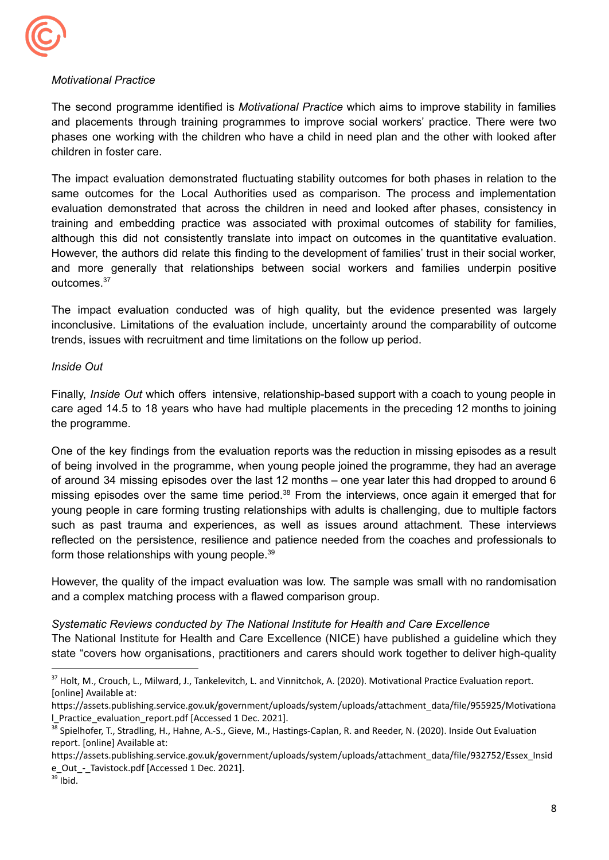

## *Motivational Practice*

 children in foster care. The second programme identified is *Motivational Practice* which aims to improve stability in families and placements through training programmes to improve social workers' practice. There were two phases one working with the children who have a child in need plan and the other with looked after

The impact evaluation demonstrated fluctuating stability outcomes for both phases in relation to the same outcomes for the Local Authorities used as comparison. The process and implementation evaluation demonstrated that across the children in need and looked after phases, consistency in training and embedding practice was associated with proximal outcomes of stability for families, although this did not consistently translate into impact on outcomes in the quantitative evaluation. However, the authors did relate this finding to the development of families' trust in their social worker, and more generally that relationships between social workers and families underpin positive [outcomes.37](https://outcomes.37)

 trends, issues with recruitment and time limitations on the follow up period. The impact evaluation conducted was of high quality, but the evidence presented was largely inconclusive. Limitations of the evaluation include, uncertainty around the comparability of outcome

## *Inside Out*

Finally, *Inside Out* which offers intensive, relationship-based support with a coach to young people in care aged 14.5 to 18 years who have had multiple placements in the preceding 12 months to joining the programme.

form those relationships with young people. $39$ One of the key findings from the evaluation reports was the reduction in missing episodes as a result of being involved in the programme, when young people joined the programme, they had an average of around 34 missing episodes over the last 12 months – one year later this had dropped to around 6 missing episodes over the same time period.<sup>38</sup> From the interviews, once again it emerged that for young people in care forming trusting relationships with adults is challenging, due to multiple factors such as past trauma and experiences, as well as issues around attachment. These interviews reflected on the persistence, resilience and patience needed from the coaches and professionals to

 and a complex matching process with a flawed comparison group. However, the quality of the impact evaluation was low. The sample was small with no randomisation

## *Systematic Reviews conducted by The National Institute for Health and Care Excellence*

The National Institute for Health and Care Excellence (NICE) have published a guideline which they state "covers how organisations, practitioners and carers should work together to deliver high-quality

 $39$  Ibid.

 $37$  Holt, M., Crouch, L., Milward, J., Tankelevitch, L. and Vinnitchok, A. (2020). Motivational Practice Evaluation report. [online] Available at:

 l\_Practice\_evaluation\_report.pdf [Accessed 1 Dec. 2021]. [https://assets.publishing.service.gov.uk/government/uploads/system/uploads/attachment\\_data/file/955925/Motivationa](https://assets.publishing.service.gov.uk/government/uploads/system/uploads/attachment_data/file/955925/Motivationa)

<sup>&</sup>lt;sup>38</sup> Spielhofer, T., Stradling, H., Hahne, A.-S., Gieve, M., Hastings-Caplan, R. and Reeder, N. (2020). Inside Out Evaluation report. [online] Available at:

 e\_Out\_-\_Tavistock.pdf [Accessed 1 Dec. 2021]. [https://assets.publishing.service.gov.uk/government/uploads/system/uploads/attachment\\_data/file/932752/Essex\\_Insid](https://assets.publishing.service.gov.uk/government/uploads/system/uploads/attachment_data/file/932752/Essex_Insid)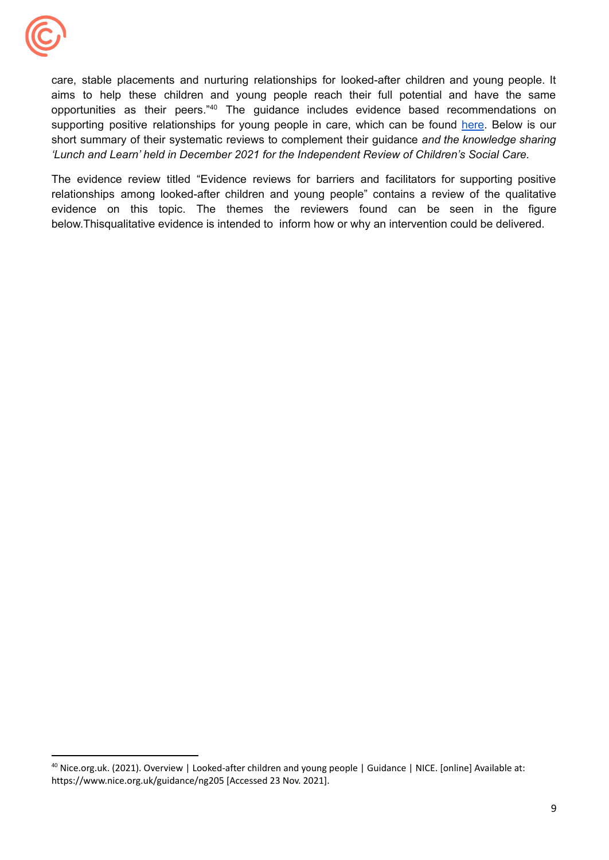

 *'Lunch and Learn' held in December 2021 for the Independent Review of Children's Social Care.* care, stable placements and nurturing relationships for looked-after children and young people. It aims to help these children and young people reach their full potential and have the same opportunities as their peers."40 The guidance includes evidence based recommendations on supporting positive relationships for young people in care, which can be found [here.](https://www.nice.org.uk/guidance/ng205/chapter/Recommendations#supporting-positive-relationships) Below is our short summary of their systematic reviews to complement their guidance *and the knowledge sharing*

 below.Thisqualitative evidence is intended to inform how or why an intervention could be delivered. The evidence review titled "Evidence reviews for barriers and facilitators for supporting positive relationships among looked-after children and young people" contains a review of the qualitative evidence on this topic. The themes the reviewers found can be seen in the figure

<sup>&</sup>lt;sup>40</sup> Nice.org.uk. (2021). Overview | Looked-after children and young people | Guidance | NICE. [online] Available at: <https://www.nice.org.uk/guidance/ng205> [Accessed 23 Nov. 2021].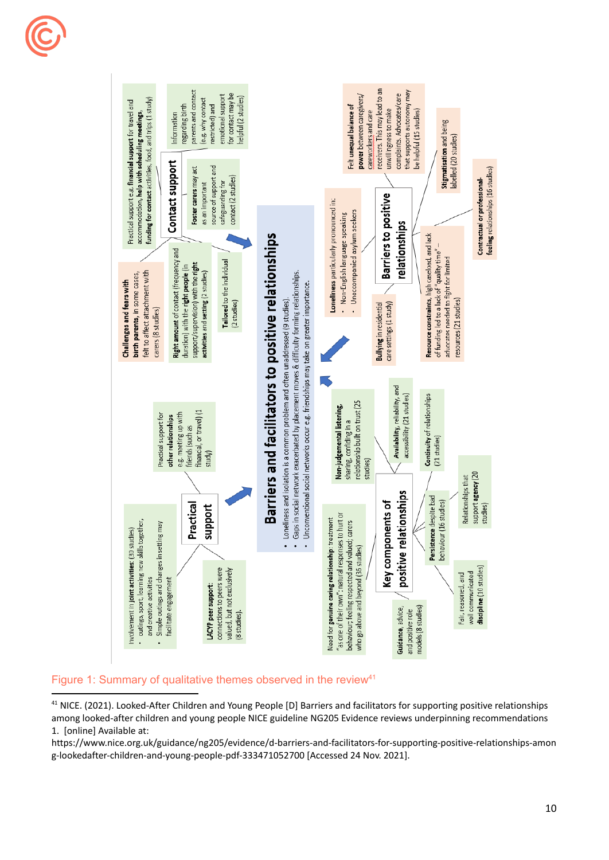



## Figure 1: Summary of qualitative themes observed in the review<sup>41</sup>

<sup>41</sup> NICE. (2021). Looked-After Children and Young People [D] Barriers and facilitators for supporting positive relationships among looked-after children and young people NICE guideline NG205 Evidence reviews underpinning recommendations 1. [online] Available at:

 g-lookedafter-children-and-young-people-pdf-333471052700 [Accessed 24 Nov. 2021]. <https://www.nice.org.uk/guidance/ng205/evidence/d-barriers-and-facilitators-for-supporting-positive-relationships-amon>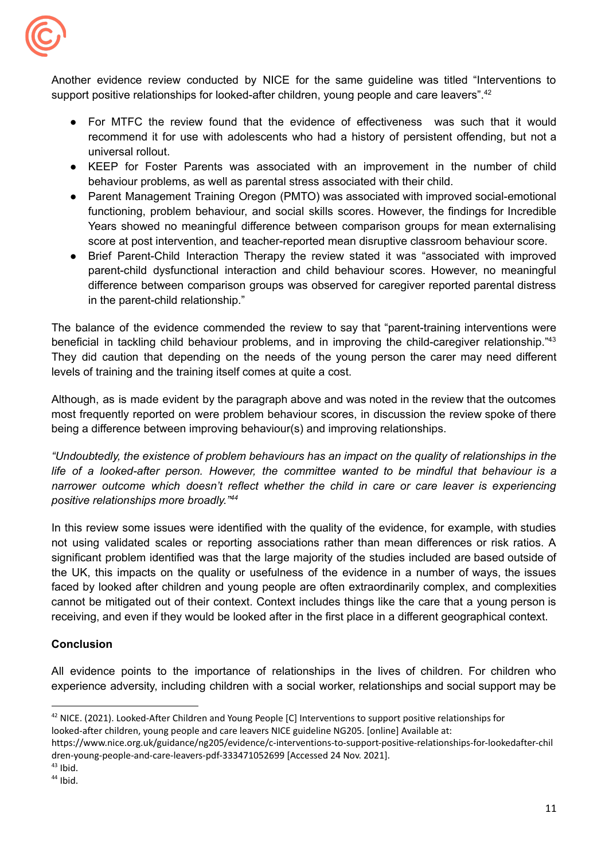

support positive relationships for looked-after children, young people and care leavers".<sup>42</sup> Another evidence review conducted by NICE for the same guideline was titled "Interventions to

- For MTFC the review found that the evidence of effectiveness was such that it would recommend it for use with adolescents who had a history of persistent offending, but not a universal rollout.
- behaviour problems, as well as parental stress associated with their child. ● KEEP for Foster Parents was associated with an improvement in the number of child
- score at post intervention, and teacher-reported mean disruptive classroom behaviour score. ● Parent Management Training Oregon (PMTO) was associated with improved social-emotional functioning, problem behaviour, and social skills scores. However, the findings for Incredible Years showed no meaningful difference between comparison groups for mean externalising
- in the parent-child relationship." ● Brief Parent-Child Interaction Therapy the review stated it was "associated with improved parent-child dysfunctional interaction and child behaviour scores. However, no meaningful difference between comparison groups was observed for caregiver reported parental distress

 levels of training and the training itself comes at quite a cost. The balance of the evidence commended the review to say that "parent-training interventions were beneficial in tackling child behaviour problems, and in improving the child-caregiver relationship."43 They did caution that depending on the needs of the young person the carer may need different

 being a difference between improving behaviour(s) and improving relationships. Although, as is made evident by the paragraph above and was noted in the review that the outcomes most frequently reported on were problem behaviour scores, in discussion the review spoke of there

 *positive relationships more broadly."44 "Undoubtedly, the existence of problem behaviours has an impact on the quality of relationships in the life of a looked-after person. However, the committee wanted to be mindful that behaviour is a narrower outcome which doesn't reflect whether the child in care or care leaver is experiencing*

 receiving, and even if they would be looked after in the first place in a different geographical context. In this review some issues were identified with the quality of the evidence, for example, with studies not using validated scales or reporting associations rather than mean differences or risk ratios. A significant problem identified was that the large majority of the studies included are based outside of the UK, this impacts on the quality or usefulness of the evidence in a number of ways, the issues faced by looked after children and young people are often extraordinarily complex, and complexities cannot be mitigated out of their context. Context includes things like the care that a young person is

## **Conclusion**

All evidence points to the importance of relationships in the lives of children. For children who experience adversity, including children with a social worker, relationships and social support may be

<sup>&</sup>lt;sup>42</sup> NICE. (2021). Looked-After Children and Young People [C] Interventions to support positive relationships for looked-after children, young people and care leavers NICE guideline NG205. [online] Available at:

 dren-young-people-and-care-leavers-pdf-333471052699 [Accessed 24 Nov. 2021]. <https://www.nice.org.uk/guidance/ng205/evidence/c-interventions-to-support-positive-relationships-for-lookedafter-chil>

 $43$  Ibid.

 $44$  Ibid.